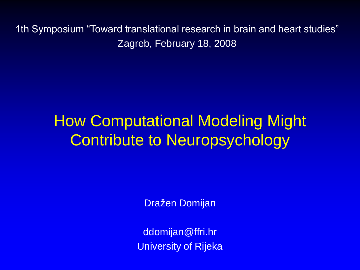1th Symposium "Toward translational research in brain and heart studies" Zagreb, February 18, 2008

# How Computational Modeling Might Contribute to Neuropsychology

Dražen Domijan

ddomijan@ffri.hr University of Rijeka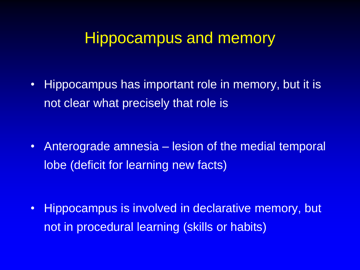### Hippocampus and memory

• Hippocampus has important role in memory, but it is not clear what precisely that role is

• Anterograde amnesia – lesion of the medial temporal lobe (deficit for learning new facts)

• Hippocampus is involved in declarative memory, but not in procedural learning (skills or habits)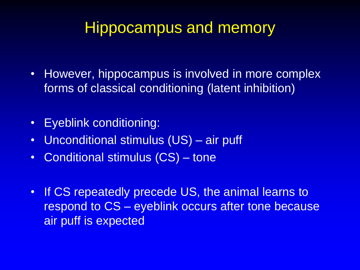## Hippocampus and memory

- However, hippocampus is involved in more complex forms of classical conditioning (latent inhibition)
- Eyeblink conditioning:
- Unconditional stimulus (US) air puff
- Conditional stimulus (CS) tone
- If CS repeatedly precede US, the animal learns to respond to CS – eyeblink occurs after tone because air puff is expected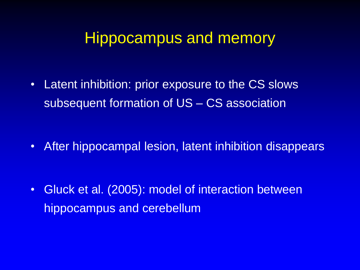#### Hippocampus and memory

• Latent inhibition: prior exposure to the CS slows subsequent formation of US - CS association

• After hippocampal lesion, latent inhibition disappears

• Gluck et al. (2005): model of interaction between hippocampus and cerebellum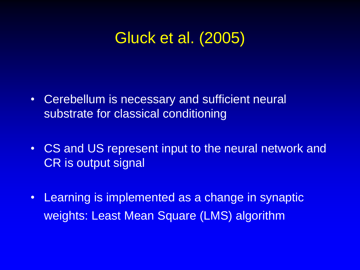- Cerebellum is necessary and sufficient neural substrate for classical conditioning
- CS and US represent input to the neural network and CR is output signal
- Learning is implemented as a change in synaptic weights: Least Mean Square (LMS) algorithm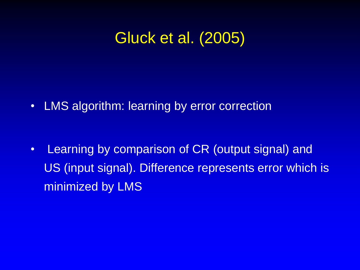• LMS algorithm: learning by error correction

• Learning by comparison of CR (output signal) and US (input signal). Difference represents error which is minimized by LMS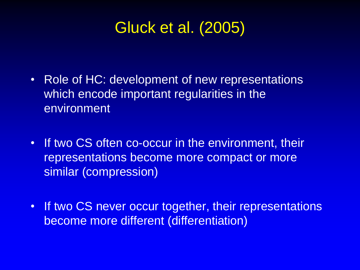- Role of HC: development of new representations which encode important regularities in the environment
- If two CS often co-occur in the environment, their representations become more compact or more similar (compression)
- If two CS never occur together, their representations become more different (differentiation)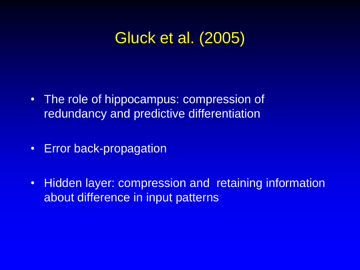- The role of hippocampus: compression of redundancy and predictive differentiation
- Error back-propagation
- Hidden layer: compression and retaining information about difference in input patterns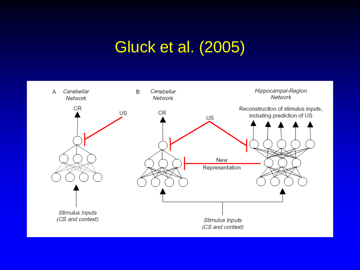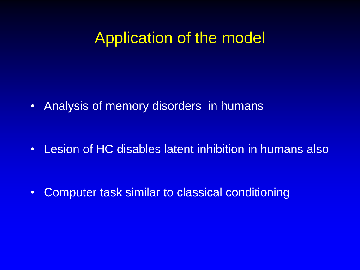#### Application of the model

• Analysis of memory disorders in humans

• Lesion of HC disables latent inhibition in humans also

• Computer task similar to classical conditioning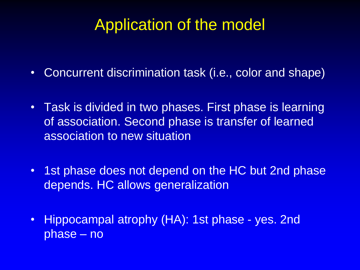## Application of the model

- Concurrent discrimination task (i.e., color and shape)
- Task is divided in two phases. First phase is learning of association. Second phase is transfer of learned association to new situation
- 1st phase does not depend on the HC but 2nd phase depends. HC allows generalization
- Hippocampal atrophy (HA): 1st phase yes. 2nd phase – no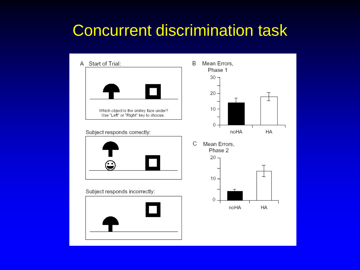# Concurrent discrimination task

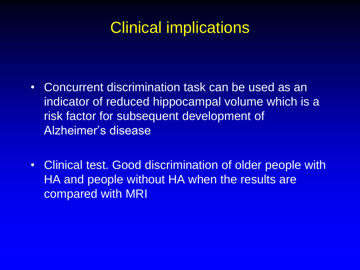# Clinical implications

- Concurrent discrimination task can be used as an indicator of reduced hippocampal volume which is a risk factor for subsequent development of Alzheimer's disease
- Clinical test. Good discrimination of older people with HA and people without HA when the results are compared with MRI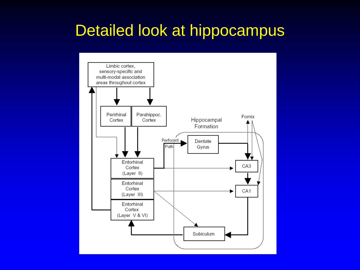### Detailed look at hippocampus